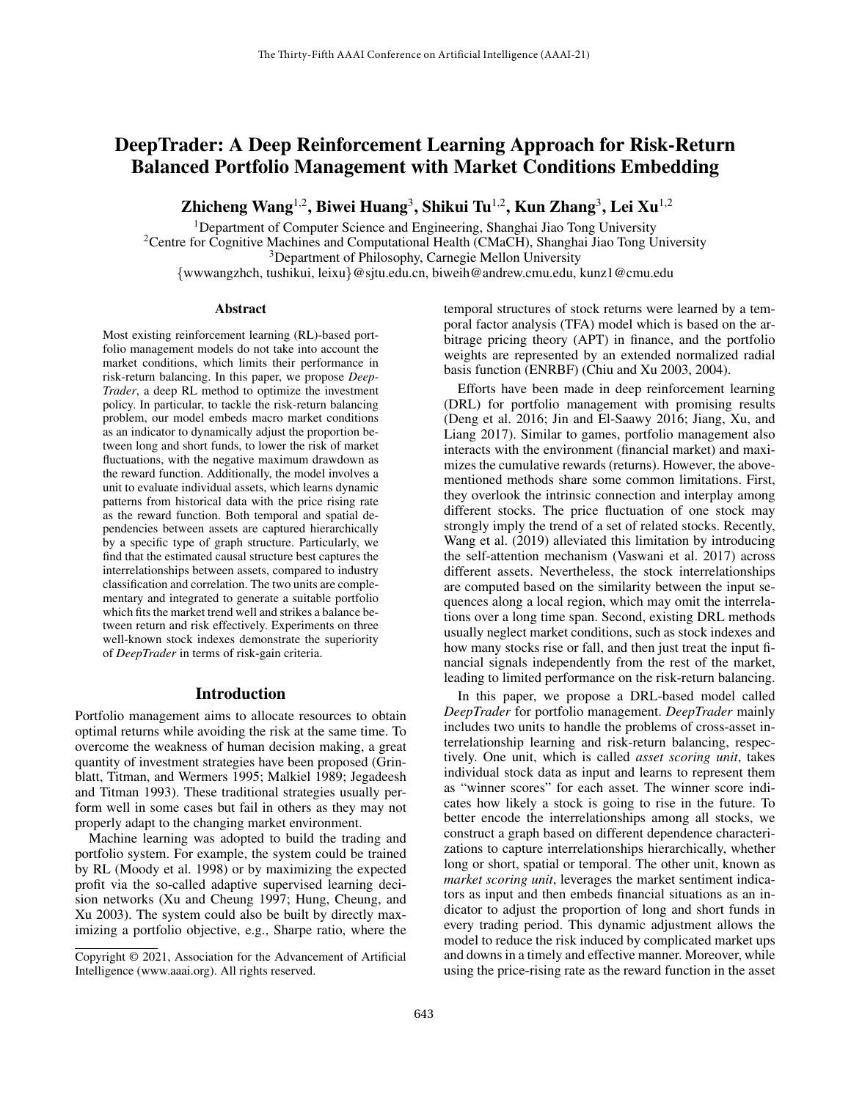# DeepTrader: A Deep Reinforcement Learning Approach for Risk-Return Balanced Portfolio Management with Market Conditions Embedding

Zhicheng Wang $^{1,2}$ , Biwei Huang $^3$ , Shikui Tu $^{1,2}$ , Kun Zhang $^3$ , Lei Xu $^{1,2}$ 

<sup>1</sup>Department of Computer Science and Engineering, Shanghai Jiao Tong University

<sup>2</sup>Centre for Cognitive Machines and Computational Health (CMaCH), Shanghai Jiao Tong University

<sup>3</sup>Department of Philosophy, Carnegie Mellon University

{wwwangzhch, tushikui, leixu}@sjtu.edu.cn, biweih@andrew.cmu.edu, kunz1@cmu.edu

#### Abstract

Most existing reinforcement learning (RL)-based portfolio management models do not take into account the market conditions, which limits their performance in risk-return balancing. In this paper, we propose *Deep-Trader*, a deep RL method to optimize the investment policy. In particular, to tackle the risk-return balancing problem, our model embeds macro market conditions as an indicator to dynamically adjust the proportion between long and short funds, to lower the risk of market fluctuations, with the negative maximum drawdown as the reward function. Additionally, the model involves a unit to evaluate individual assets, which learns dynamic patterns from historical data with the price rising rate as the reward function. Both temporal and spatial dependencies between assets are captured hierarchically by a specific type of graph structure. Particularly, we find that the estimated causal structure best captures the interrelationships between assets, compared to industry classification and correlation. The two units are complementary and integrated to generate a suitable portfolio which fits the market trend well and strikes a balance between return and risk effectively. Experiments on three well-known stock indexes demonstrate the superiority of *DeepTrader* in terms of risk-gain criteria.

### Introduction

Portfolio management aims to allocate resources to obtain optimal returns while avoiding the risk at the same time. To overcome the weakness of human decision making, a great quantity of investment strategies have been proposed (Grinblatt, Titman, and Wermers 1995; Malkiel 1989; Jegadeesh and Titman 1993). These traditional strategies usually perform well in some cases but fail in others as they may not properly adapt to the changing market environment.

Machine learning was adopted to build the trading and portfolio system. For example, the system could be trained by RL (Moody et al. 1998) or by maximizing the expected profit via the so-called adaptive supervised learning decision networks (Xu and Cheung 1997; Hung, Cheung, and Xu 2003). The system could also be built by directly maximizing a portfolio objective, e.g., Sharpe ratio, where the temporal structures of stock returns were learned by a temporal factor analysis (TFA) model which is based on the arbitrage pricing theory (APT) in finance, and the portfolio weights are represented by an extended normalized radial basis function (ENRBF) (Chiu and Xu 2003, 2004).

Efforts have been made in deep reinforcement learning (DRL) for portfolio management with promising results (Deng et al. 2016; Jin and El-Saawy 2016; Jiang, Xu, and Liang 2017). Similar to games, portfolio management also interacts with the environment (financial market) and maximizes the cumulative rewards (returns). However, the abovementioned methods share some common limitations. First, they overlook the intrinsic connection and interplay among different stocks. The price fluctuation of one stock may strongly imply the trend of a set of related stocks. Recently, Wang et al. (2019) alleviated this limitation by introducing the self-attention mechanism (Vaswani et al. 2017) across different assets. Nevertheless, the stock interrelationships are computed based on the similarity between the input sequences along a local region, which may omit the interrelations over a long time span. Second, existing DRL methods usually neglect market conditions, such as stock indexes and how many stocks rise or fall, and then just treat the input financial signals independently from the rest of the market, leading to limited performance on the risk-return balancing.

In this paper, we propose a DRL-based model called *DeepTrader* for portfolio management. *DeepTrader* mainly includes two units to handle the problems of cross-asset interrelationship learning and risk-return balancing, respectively. One unit, which is called *asset scoring unit*, takes individual stock data as input and learns to represent them as "winner scores" for each asset. The winner score indicates how likely a stock is going to rise in the future. To better encode the interrelationships among all stocks, we construct a graph based on different dependence characterizations to capture interrelationships hierarchically, whether long or short, spatial or temporal. The other unit, known as *market scoring unit*, leverages the market sentiment indicators as input and then embeds financial situations as an indicator to adjust the proportion of long and short funds in every trading period. This dynamic adjustment allows the model to reduce the risk induced by complicated market ups and downs in a timely and effective manner. Moreover, while using the price-rising rate as the reward function in the asset

Copyright © 2021, Association for the Advancement of Artificial Intelligence (www.aaai.org). All rights reserved.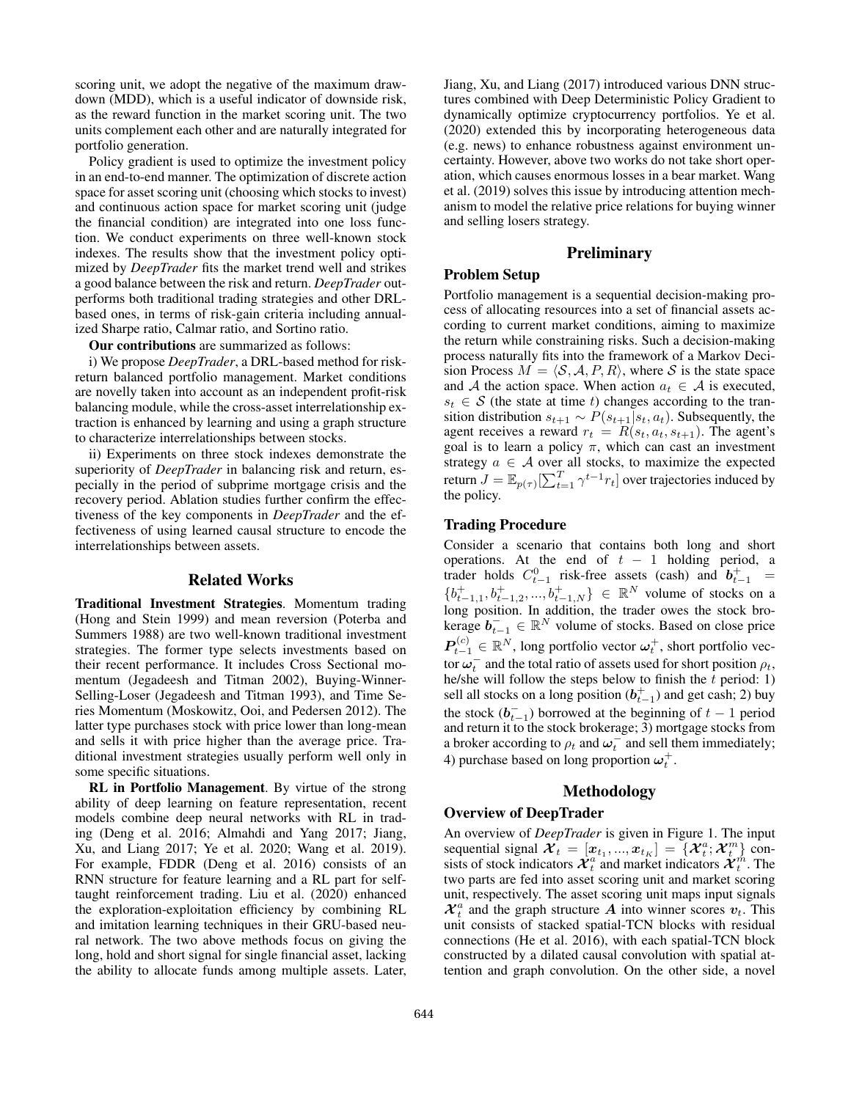scoring unit, we adopt the negative of the maximum drawdown (MDD), which is a useful indicator of downside risk, as the reward function in the market scoring unit. The two units complement each other and are naturally integrated for portfolio generation.

Policy gradient is used to optimize the investment policy in an end-to-end manner. The optimization of discrete action space for asset scoring unit (choosing which stocks to invest) and continuous action space for market scoring unit (judge the financial condition) are integrated into one loss function. We conduct experiments on three well-known stock indexes. The results show that the investment policy optimized by *DeepTrader* fits the market trend well and strikes a good balance between the risk and return. *DeepTrader* outperforms both traditional trading strategies and other DRLbased ones, in terms of risk-gain criteria including annualized Sharpe ratio, Calmar ratio, and Sortino ratio.

Our contributions are summarized as follows:

i) We propose *DeepTrader*, a DRL-based method for riskreturn balanced portfolio management. Market conditions are novelly taken into account as an independent profit-risk balancing module, while the cross-asset interrelationship extraction is enhanced by learning and using a graph structure to characterize interrelationships between stocks.

ii) Experiments on three stock indexes demonstrate the superiority of *DeepTrader* in balancing risk and return, especially in the period of subprime mortgage crisis and the recovery period. Ablation studies further confirm the effectiveness of the key components in *DeepTrader* and the effectiveness of using learned causal structure to encode the interrelationships between assets.

### Related Works

Traditional Investment Strategies. Momentum trading (Hong and Stein 1999) and mean reversion (Poterba and Summers 1988) are two well-known traditional investment strategies. The former type selects investments based on their recent performance. It includes Cross Sectional momentum (Jegadeesh and Titman 2002), Buying-Winner-Selling-Loser (Jegadeesh and Titman 1993), and Time Series Momentum (Moskowitz, Ooi, and Pedersen 2012). The latter type purchases stock with price lower than long-mean and sells it with price higher than the average price. Traditional investment strategies usually perform well only in some specific situations.

RL in Portfolio Management. By virtue of the strong ability of deep learning on feature representation, recent models combine deep neural networks with RL in trading (Deng et al. 2016; Almahdi and Yang 2017; Jiang, Xu, and Liang 2017; Ye et al. 2020; Wang et al. 2019). For example, FDDR (Deng et al. 2016) consists of an RNN structure for feature learning and a RL part for selftaught reinforcement trading. Liu et al. (2020) enhanced the exploration-exploitation efficiency by combining RL and imitation learning techniques in their GRU-based neural network. The two above methods focus on giving the long, hold and short signal for single financial asset, lacking the ability to allocate funds among multiple assets. Later,

Jiang, Xu, and Liang (2017) introduced various DNN structures combined with Deep Deterministic Policy Gradient to dynamically optimize cryptocurrency portfolios. Ye et al. (2020) extended this by incorporating heterogeneous data (e.g. news) to enhance robustness against environment uncertainty. However, above two works do not take short operation, which causes enormous losses in a bear market. Wang et al. (2019) solves this issue by introducing attention mechanism to model the relative price relations for buying winner and selling losers strategy.

### **Preliminary**

### Problem Setup

Portfolio management is a sequential decision-making process of allocating resources into a set of financial assets according to current market conditions, aiming to maximize the return while constraining risks. Such a decision-making process naturally fits into the framework of a Markov Decision Process  $M = \langle S, A, P, R \rangle$ , where S is the state space and A the action space. When action  $a_t \in A$  is executed,  $s_t \in \mathcal{S}$  (the state at time t) changes according to the transition distribution  $s_{t+1} \sim P(s_{t+1}|s_t, a_t)$ . Subsequently, the agent receives a reward  $r_t = R(s_t, a_t, s_{t+1})$ . The agent's goal is to learn a policy  $\pi$ , which can cast an investment strategy  $a \in \mathcal{A}$  over all stocks, to maximize the expected return  $J = \mathbb{E}_{p(\tau)}[\sum_{t=1}^T \gamma^{t-1} r_t]$  over trajectories induced by the policy.

#### Trading Procedure

Consider a scenario that contains both long and short operations. At the end of  $t - 1$  holding period, a trader holds  $C_{t-1}^0$  risk-free assets (cash) and  $\mathbf{b}_{t-1}^+$  =  ${b_{t-1,1}^+, b_{t-1,2}^+, ..., b_{t-1,N}^+} \in \mathbb{R}^N$  volume of stocks on a long position. In addition, the trader owes the stock brokerage  $\mathbf{b}_{t-1}^- \in \mathbb{R}^N$  volume of stocks. Based on close price  $\boldsymbol{P}_{t-1}^{(c)} \in \mathbb{R}^{N},$  long portfolio vector  $\boldsymbol{\omega}_{t}^{+}$ , short portfolio vector  $\omega_t^-$  and the total ratio of assets used for short position  $\rho_t$ , he/she will follow the steps below to finish the  $t$  period: 1) sell all stocks on a long position  $(b_{t-1}^+)$  and get cash; 2) buy the stock  $(b_{t-1}^-)$  borrowed at the beginning of  $t-1$  period and return it to the stock brokerage; 3) mortgage stocks from a broker according to  $\rho_t$  and  $\omega_t^-$  and sell them immediately; 4) purchase based on long proportion  $\omega_t^+$ .

### Methodology

#### Overview of DeepTrader

An overview of *DeepTrader* is given in Figure 1. The input sequential signal  $\mathcal{X}_t = [x_{t_1}, ..., x_{t_K}] = \{\mathcal{X}_t^a; \mathcal{X}_t^m\}$  consists of stock indicators  $\mathcal{X}_t^a$  and market indicators  $\mathcal{X}_t^m$ . The two parts are fed into asset scoring unit and market scoring unit, respectively. The asset scoring unit maps input signals  $\mathcal{X}_t^a$  and the graph structure A into winner scores  $v_t$ . This unit consists of stacked spatial-TCN blocks with residual connections (He et al. 2016), with each spatial-TCN block constructed by a dilated causal convolution with spatial attention and graph convolution. On the other side, a novel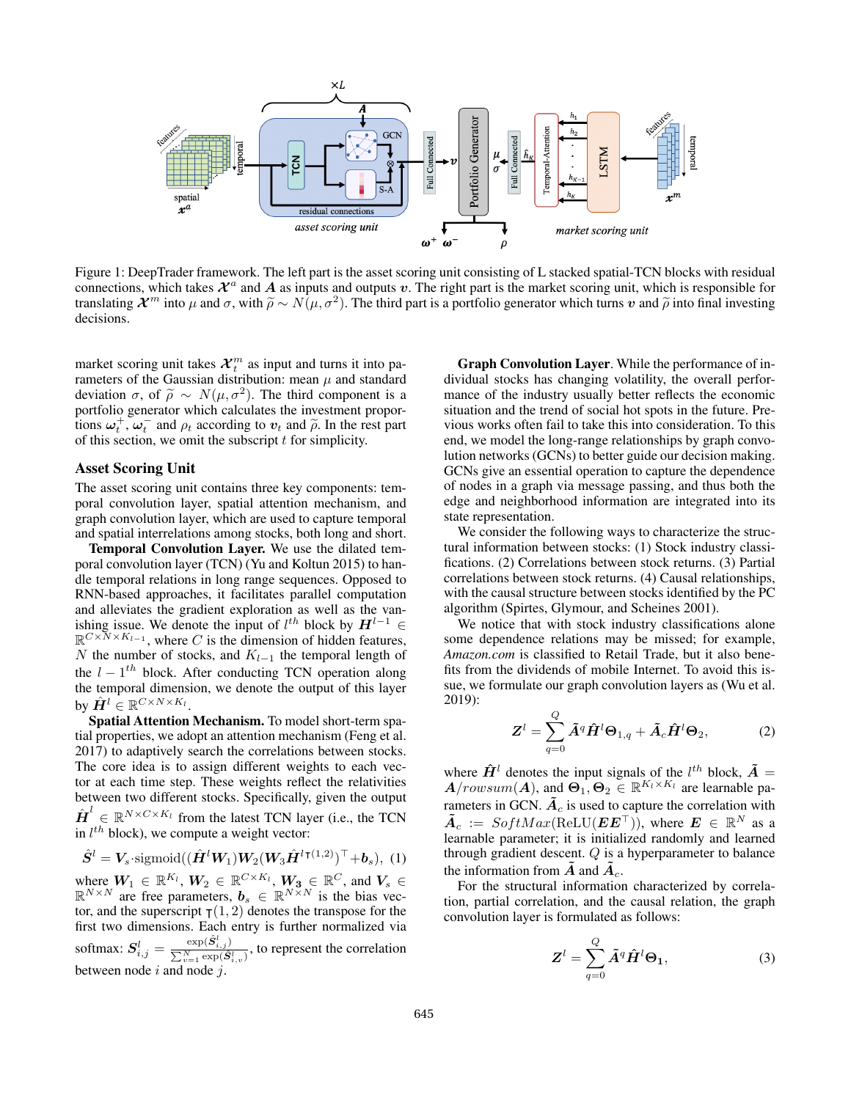

Figure 1: DeepTrader framework. The left part is the asset scoring unit consisting of L stacked spatial-TCN blocks with residual connections, which takes  $\mathcal{X}^a$  and A as inputs and outputs v. The right part is the market scoring unit, which is responsible for translating  $\mathcal{X}^m$  into  $\mu$  and  $\sigma$ , with  $\widetilde{\rho} \sim N(\mu, \sigma^2)$ . The third part is a portfolio generator which turns  $v$  and  $\widetilde{\rho}$  into final investing decisions decisions.

market scoring unit takes  $\mathcal{X}_t^m$  as input and turns it into parameters of the Gaussian distribution: mean  $\mu$  and standard deviation  $\sigma$ , of  $\tilde{\rho} \sim N(\mu, \sigma^2)$ . The third component is a portfolio generator which calculates the investment proporportfolio generator which calculates the investment proportions  $\omega_t^+$ ,  $\omega_t^-$  and  $\rho_t$  according to  $v_t$  and  $\tilde{\rho}$ . In the rest part of this section, we omit the subscript t for simplicity of this section, we omit the subscript  $t$  for simplicity.

#### Asset Scoring Unit

The asset scoring unit contains three key components: temporal convolution layer, spatial attention mechanism, and graph convolution layer, which are used to capture temporal and spatial interrelations among stocks, both long and short.

Temporal Convolution Layer. We use the dilated temporal convolution layer (TCN) (Yu and Koltun 2015) to handle temporal relations in long range sequences. Opposed to RNN-based approaches, it facilitates parallel computation and alleviates the gradient exploration as well as the vanishing issue. We denote the input of  $l^{th}$  block by  $H^{l-1}$   $\in$  $\mathbb{R}^{C \times N \times K_{l-1}}$ , where C is the dimension of hidden features, N the number of stocks, and  $K_{l-1}$  the temporal length of the  $l - 1$ <sup>th</sup> block. After conducting TCN operation along the temporal dimension, we denote the output of this layer by  $\hat{\bm{H}}^{l} \in \mathbb{R}^{C \times N \times K_{l}}.$ 

Spatial Attention Mechanism. To model short-term spatial properties, we adopt an attention mechanism (Feng et al. 2017) to adaptively search the correlations between stocks. The core idea is to assign different weights to each vector at each time step. These weights reflect the relativities between two different stocks. Specifically, given the output  $\hat{\boldsymbol{H}}^{l} \in \mathbb{R}^{N \times C \times K_{l}}$  from the latest TCN layer (i.e., the TCN in  $l^{th}$  block), we compute a weight vector:

$$
\hat{\mathbf{S}}^l = \mathbf{V}_s \cdot \text{sigmoid}((\hat{\mathbf{H}}^l \mathbf{W}_1) \mathbf{W}_2 (\mathbf{W}_3 \hat{\mathbf{H}}^{l \intercal (1,2)})^\top + \mathbf{b}_s), \ (1)
$$

where  $W_1 \in \mathbb{R}^{K_l}$ ,  $W_2 \in \mathbb{R}^{C \times K_l}$ ,  $W_3 \in \mathbb{R}^C$ , and  $V_s \in \mathbb{R}^{N \times N}$  are free parameters,  $b_s \in \mathbb{R}^{N \times N}$  is the bias vector, and the superscript  $\tau(1, 2)$  denotes the transpose for the first two dimensions. Each entry is further normalized via softmax:  $S_{i,j}^l = \frac{\exp(\hat{S}_{i,j}^l)}{\sum_{i}^{N} \exp(\hat{S}_{i,j}^l)}$  $\frac{\exp(S_{i,j})}{\sum_{v=1}^{N} \exp(\hat{S}_{i,v}^l)}$ , to represent the correlation between node  $i$  and node  $j$ .

Graph Convolution Layer. While the performance of individual stocks has changing volatility, the overall performance of the industry usually better reflects the economic situation and the trend of social hot spots in the future. Previous works often fail to take this into consideration. To this end, we model the long-range relationships by graph convolution networks (GCNs) to better guide our decision making. GCNs give an essential operation to capture the dependence of nodes in a graph via message passing, and thus both the edge and neighborhood information are integrated into its state representation.

We consider the following ways to characterize the structural information between stocks: (1) Stock industry classifications. (2) Correlations between stock returns. (3) Partial correlations between stock returns. (4) Causal relationships, with the causal structure between stocks identified by the PC algorithm (Spirtes, Glymour, and Scheines 2001).

We notice that with stock industry classifications alone some dependence relations may be missed; for example, *Amazon.com* is classified to Retail Trade, but it also benefits from the dividends of mobile Internet. To avoid this issue, we formulate our graph convolution layers as (Wu et al. 2019):

$$
\mathbf{Z}^{l} = \sum_{q=0}^{Q} \tilde{\mathbf{A}}^{q} \hat{\mathbf{H}}^{l} \mathbf{\Theta}_{1,q} + \tilde{\mathbf{A}}_{c} \hat{\mathbf{H}}^{l} \mathbf{\Theta}_{2},
$$
 (2)

where  $\hat{H}^l$  denotes the input signals of the  $l^{th}$  block,  $\tilde{A} =$  $A/rowsum(A)$ , and  $\Theta_1, \Theta_2 \in \mathbb{R}^{K_l \times K_l}$  are learnable parameters in GCN.  $\tilde{A}_c$  is used to capture the correlation with  $\tilde{A}_c := SoftMax(ReLU(EE^{\top}))$ , where  $E \in \mathbb{R}^N$  as a learnable parameter; it is initialized randomly and learned through gradient descent. Q is a hyperparameter to balance the information from  $\tilde{A}$  and  $\tilde{A}_c$ .

For the structural information characterized by correlation, partial correlation, and the causal relation, the graph convolution layer is formulated as follows:

$$
\mathbf{Z}^{l} = \sum_{q=0}^{Q} \tilde{\mathbf{A}}^{q} \hat{\mathbf{H}}^{l} \Theta_{1},
$$
 (3)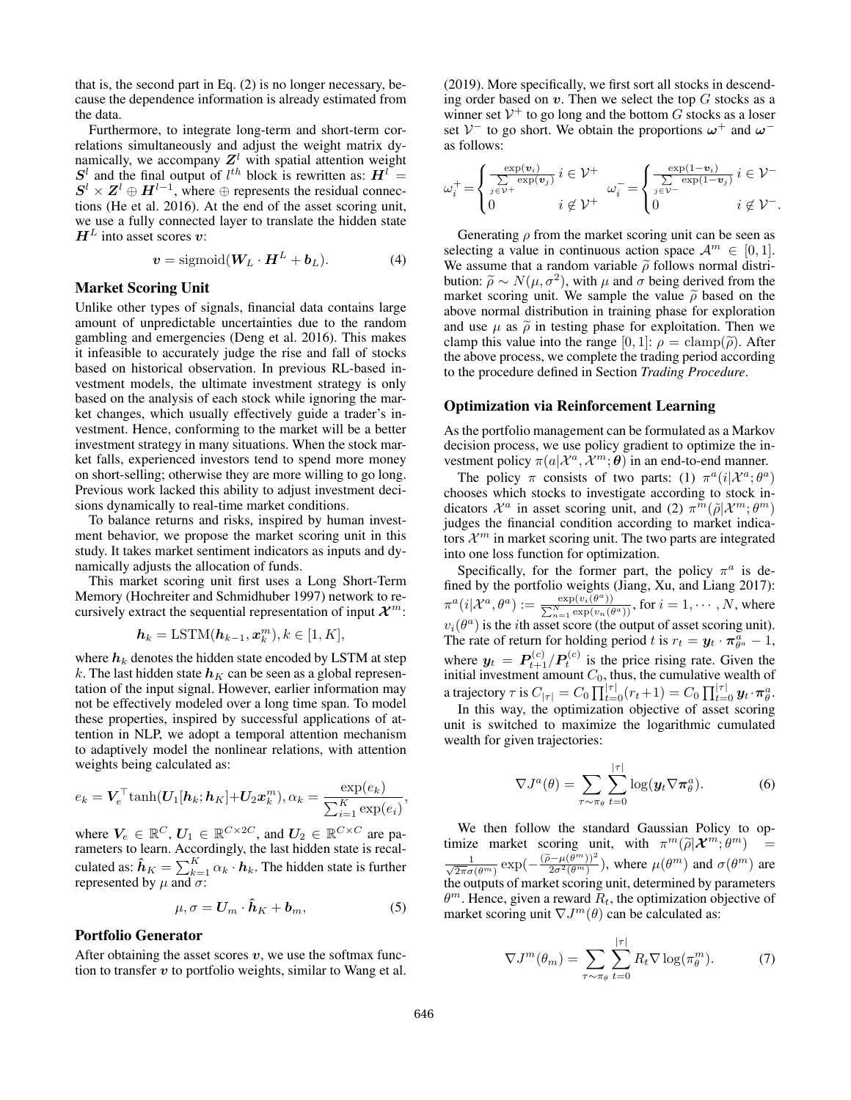that is, the second part in Eq. (2) is no longer necessary, because the dependence information is already estimated from the data.

Furthermore, to integrate long-term and short-term correlations simultaneously and adjust the weight matrix dynamically, we accompany  $Z<sup>l</sup>$  with spatial attention weight  $S^l$  and the final output of  $l^{th}$  block is rewritten as:  $H^l$  =  $S^l \times Z^l \oplus H^{l-1}$ , where  $\oplus$  represents the residual connections (He et al. 2016). At the end of the asset scoring unit, we use a fully connected layer to translate the hidden state  $H<sup>L</sup>$  into asset scores v:

$$
\boldsymbol{v} = \text{sigmoid}(\boldsymbol{W}_L \cdot \boldsymbol{H}^L + \boldsymbol{b}_L). \tag{4}
$$

### Market Scoring Unit

Unlike other types of signals, financial data contains large amount of unpredictable uncertainties due to the random gambling and emergencies (Deng et al. 2016). This makes it infeasible to accurately judge the rise and fall of stocks based on historical observation. In previous RL-based investment models, the ultimate investment strategy is only based on the analysis of each stock while ignoring the market changes, which usually effectively guide a trader's investment. Hence, conforming to the market will be a better investment strategy in many situations. When the stock market falls, experienced investors tend to spend more money on short-selling; otherwise they are more willing to go long. Previous work lacked this ability to adjust investment decisions dynamically to real-time market conditions.

To balance returns and risks, inspired by human investment behavior, we propose the market scoring unit in this study. It takes market sentiment indicators as inputs and dynamically adjusts the allocation of funds.

This market scoring unit first uses a Long Short-Term Memory (Hochreiter and Schmidhuber 1997) network to recursively extract the sequential representation of input  $\mathcal{X}^m$ :

$$
\boldsymbol{h}_k = \text{LSTM}(\boldsymbol{h}_{k-1}, \boldsymbol{x}_k^m), k \in [1, K],
$$

where  $h_k$  denotes the hidden state encoded by LSTM at step k. The last hidden state  $h<sub>K</sub>$  can be seen as a global representation of the input signal. However, earlier information may not be effectively modeled over a long time span. To model these properties, inspired by successful applications of attention in NLP, we adopt a temporal attention mechanism to adaptively model the nonlinear relations, with attention weights being calculated as:

$$
e_k = \boldsymbol{V}_e^{\top} \text{tanh}(\boldsymbol{U}_1[\boldsymbol{h}_k;\boldsymbol{h}_K] + \boldsymbol{U}_2\boldsymbol{x}_k^m), \alpha_k = \frac{\exp(e_k)}{\sum_{i=1}^K \exp(e_i)}
$$

where  $V_e \in \mathbb{R}^C$ ,  $U_1 \in \mathbb{R}^{C \times 2C}$ , and  $U_2 \in \mathbb{R}^{C \times C}$  are parameters to learn. Accordingly, the last hidden state is recalculated as:  $\hat{\boldsymbol{h}}_K = \sum_{k=1}^K \alpha_k \cdot \boldsymbol{h}_k$ . The hidden state is further represented by  $\mu$  and  $\sigma$ :

$$
\mu, \sigma = \mathbf{U}_m \cdot \hat{\mathbf{h}}_K + \mathbf{b}_m, \tag{5}
$$

### Portfolio Generator

After obtaining the asset scores  $v$ , we use the softmax function to transfer  $v$  to portfolio weights, similar to Wang et al.

(2019). More specifically, we first sort all stocks in descending order based on  $v$ . Then we select the top  $G$  stocks as a winner set  $V^+$  to go long and the bottom G stocks as a loser set  $V^-$  to go short. We obtain the proportions  $\omega^+$  and  $\omega^$ as follows:

$$
\omega_i^+ = \begin{cases}\n\frac{\exp(\mathbf{v}_i)}{\sum\limits_{j \in \mathcal{V}^+} \exp(\mathbf{v}_j)} i \in \mathcal{V}^+ & \omega_i^- = \begin{cases}\n\frac{\exp(1-\mathbf{v}_i)}{\sum\limits_{j \in \mathcal{V}^-} \exp(1-\mathbf{v}_j)} i \in \mathcal{V}^- \\
0 & i \notin \mathcal{V}^+ \\
\end{cases}
$$

Generating  $\rho$  from the market scoring unit can be seen as selecting a value in continuous action space  $\mathcal{A}^m \in [0, 1]$ . We assume that a random variable  $\tilde{\rho}$  follows normal distribution:  $\widetilde{\rho} \sim N(\mu, \sigma^2)$ , with  $\mu$  and  $\sigma$  being derived from the market scoring unit. We sample the value  $\widetilde{\rho}$  based on the market scoring unit. We sample the value  $\tilde{\rho}$  based on the above normal distribution in training phase for exploration and use  $\mu$  as  $\tilde{\rho}$  in testing phase for exploitation. Then we clamp this value into the range  $[0, 1]$ :  $\rho = \text{clamp}(\tilde{\rho})$ . After the above process, we complete the trading period according to the procedure defined in Section *Trading Procedure*.

#### Optimization via Reinforcement Learning

As the portfolio management can be formulated as a Markov decision process, we use policy gradient to optimize the investment policy  $\pi(a|\mathcal{X}^a, \mathcal{X}^m; \theta)$  in an end-to-end manner.

The policy  $\pi$  consists of two parts: (1)  $\pi^a(i|\mathcal{X}^a; \theta^a)$ chooses which stocks to investigate according to stock indicators  $\mathcal{X}^a$  in asset scoring unit, and (2)  $\pi^m(\tilde{\rho}|\mathcal{X}^m; \theta^m)$ judges the financial condition according to market indicators  $\mathcal{X}^m$  in market scoring unit. The two parts are integrated into one loss function for optimization.

Specifically, for the former part, the policy  $\pi^a$  is defined by the portfolio weights (Jiang, Xu, and Liang 2017):  $\pi^a(i|\mathcal{X}^a,\theta^a):=\frac{\exp(v_i(\theta^a))}{\sum_{\substack{N\text{ even}}}$ P  $\frac{\exp(v_i(\theta^a))}{\sum\limits_{n=1}^N\exp(v_n(\theta^a))}$ , for  $i=1,\cdots,N,$  where  $v_i(\theta^a)$  is the *i*th asset score (the output of asset scoring unit). The rate of return for holding period t is  $r_t = y_t \cdot \pi_{\theta^a}^{\overline{a}} - 1$ , where  $y_t = P_{t+1}^{(c)} / P_t^{(c)}$  is the price rising rate. Given the initial investment amount  $C_0$ , thus, the cumulative wealth of a trajectory  $\tau$  is  $C_{|\tau|} = C_0 \prod_{t=0}^{|\tau|} (r_t+1) = C_0 \prod_{t=0}^{|\tau|} \bm{y}_t \cdot \bm{\pi}^a_{\theta}.$ 

In this way, the optimization objective of asset scoring unit is switched to maximize the logarithmic cumulated wealth for given trajectories:

$$
\nabla J^{a}(\theta) = \sum_{\tau \sim \pi_{\theta}} \sum_{t=0}^{|\tau|} \log(\boldsymbol{y}_{t} \nabla \pi_{\theta}^{a}).
$$
 (6)

We then follow the standard Gaussian Policy to optimize market scoring unit, with  $\pi^m(\tilde{\rho}|\boldsymbol{\mathcal{X}}^m; \theta^m)$  = √ 1  $\frac{1}{2\pi\sigma(\theta^m)} \exp(-\frac{(\tilde{\rho}-\mu(\theta^m))^2}{2\sigma^2(\theta^m)})$ , where  $\mu(\theta^m)$  and  $\sigma(\theta^m)$  are the outputs of market scoring unit, determined by parameters  $\theta^m$ . Hence, given a reward  $\overline{R}_t$ , the optimization objective of market scoring unit  $\nabla J^m(\theta)$  can be calculated as:

$$
\nabla J^{m}(\theta_{m}) = \sum_{\tau \sim \pi_{\theta}} \sum_{t=0}^{|\tau|} R_{t} \nabla \log(\pi_{\theta}^{m}). \tag{7}
$$

,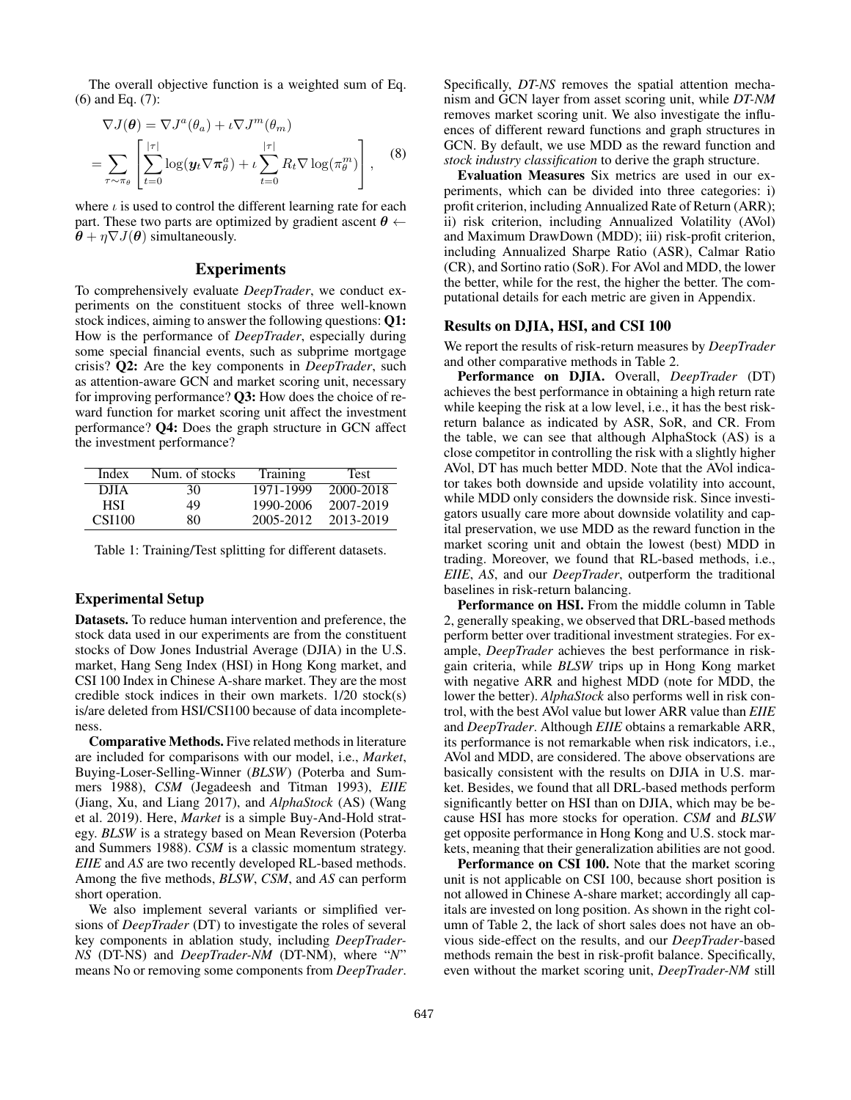The overall objective function is a weighted sum of Eq. (6) and Eq. (7):

$$
\nabla J(\theta) = \nabla J^a(\theta_a) + \iota \nabla J^m(\theta_m)
$$
  
= 
$$
\sum_{\tau \sim \pi_\theta} \left[ \sum_{t=0}^{|\tau|} \log(\mathbf{y}_t \nabla \pi_\theta^a) + \iota \sum_{t=0}^{|\tau|} R_t \nabla \log(\pi_\theta^m) \right],
$$
 (8)

where  $\iota$  is used to control the different learning rate for each part. These two parts are optimized by gradient ascent  $\theta \leftarrow$  $\theta + \eta \nabla J(\theta)$  simultaneously.

### **Experiments**

To comprehensively evaluate *DeepTrader*, we conduct experiments on the constituent stocks of three well-known stock indices, aiming to answer the following questions: Q1: How is the performance of *DeepTrader*, especially during some special financial events, such as subprime mortgage crisis? Q2: Are the key components in *DeepTrader*, such as attention-aware GCN and market scoring unit, necessary for improving performance? Q3: How does the choice of reward function for market scoring unit affect the investment performance? Q4: Does the graph structure in GCN affect the investment performance?

| Index  | Num. of stocks | <b>Training</b> | Test      |
|--------|----------------|-----------------|-----------|
| DJIA   | 30             | 1971-1999       | 2000-2018 |
| HSI    | 49             | 1990-2006       | 2007-2019 |
| CSI100 | 80             | 2005-2012       | 2013-2019 |

Table 1: Training/Test splitting for different datasets.

### Experimental Setup

Datasets. To reduce human intervention and preference, the stock data used in our experiments are from the constituent stocks of Dow Jones Industrial Average (DJIA) in the U.S. market, Hang Seng Index (HSI) in Hong Kong market, and CSI 100 Index in Chinese A-share market. They are the most credible stock indices in their own markets. 1/20 stock(s) is/are deleted from HSI/CSI100 because of data incompleteness.

Comparative Methods. Five related methods in literature are included for comparisons with our model, i.e., *Market*, Buying-Loser-Selling-Winner (*BLSW*) (Poterba and Summers 1988), *CSM* (Jegadeesh and Titman 1993), *EIIE* (Jiang, Xu, and Liang 2017), and *AlphaStock* (AS) (Wang et al. 2019). Here, *Market* is a simple Buy-And-Hold strategy. *BLSW* is a strategy based on Mean Reversion (Poterba and Summers 1988). *CSM* is a classic momentum strategy. *EIIE* and *AS* are two recently developed RL-based methods. Among the five methods, *BLSW*, *CSM*, and *AS* can perform short operation.

We also implement several variants or simplified versions of *DeepTrader* (DT) to investigate the roles of several key components in ablation study, including *DeepTrader-NS* (DT-NS) and *DeepTrader-NM* (DT-NM), where "*N*" means No or removing some components from *DeepTrader*. Specifically, *DT-NS* removes the spatial attention mechanism and GCN layer from asset scoring unit, while *DT-NM* removes market scoring unit. We also investigate the influences of different reward functions and graph structures in GCN. By default, we use MDD as the reward function and *stock industry classification* to derive the graph structure.

Evaluation Measures Six metrics are used in our experiments, which can be divided into three categories: i) profit criterion, including Annualized Rate of Return (ARR); ii) risk criterion, including Annualized Volatility (AVol) and Maximum DrawDown (MDD); iii) risk-profit criterion, including Annualized Sharpe Ratio (ASR), Calmar Ratio (CR), and Sortino ratio (SoR). For AVol and MDD, the lower the better, while for the rest, the higher the better. The computational details for each metric are given in Appendix.

#### Results on DJIA, HSI, and CSI 100

We report the results of risk-return measures by *DeepTrader* and other comparative methods in Table 2.

Performance on DJIA. Overall, *DeepTrader* (DT) achieves the best performance in obtaining a high return rate while keeping the risk at a low level, i.e., it has the best riskreturn balance as indicated by ASR, SoR, and CR. From the table, we can see that although AlphaStock (AS) is a close competitor in controlling the risk with a slightly higher AVol, DT has much better MDD. Note that the AVol indicator takes both downside and upside volatility into account, while MDD only considers the downside risk. Since investigators usually care more about downside volatility and capital preservation, we use MDD as the reward function in the market scoring unit and obtain the lowest (best) MDD in trading. Moreover, we found that RL-based methods, i.e., *EIIE*, *AS*, and our *DeepTrader*, outperform the traditional baselines in risk-return balancing.

Performance on HSI. From the middle column in Table 2, generally speaking, we observed that DRL-based methods perform better over traditional investment strategies. For example, *DeepTrader* achieves the best performance in riskgain criteria, while *BLSW* trips up in Hong Kong market with negative ARR and highest MDD (note for MDD, the lower the better). *AlphaStock* also performs well in risk control, with the best AVol value but lower ARR value than *EIIE* and *DeepTrader*. Although *EIIE* obtains a remarkable ARR, its performance is not remarkable when risk indicators, i.e., AVol and MDD, are considered. The above observations are basically consistent with the results on DJIA in U.S. market. Besides, we found that all DRL-based methods perform significantly better on HSI than on DJIA, which may be because HSI has more stocks for operation. *CSM* and *BLSW* get opposite performance in Hong Kong and U.S. stock markets, meaning that their generalization abilities are not good.

Performance on CSI 100. Note that the market scoring unit is not applicable on CSI 100, because short position is not allowed in Chinese A-share market; accordingly all capitals are invested on long position. As shown in the right column of Table 2, the lack of short sales does not have an obvious side-effect on the results, and our *DeepTrader*-based methods remain the best in risk-profit balance. Specifically, even without the market scoring unit, *DeepTrader-NM* still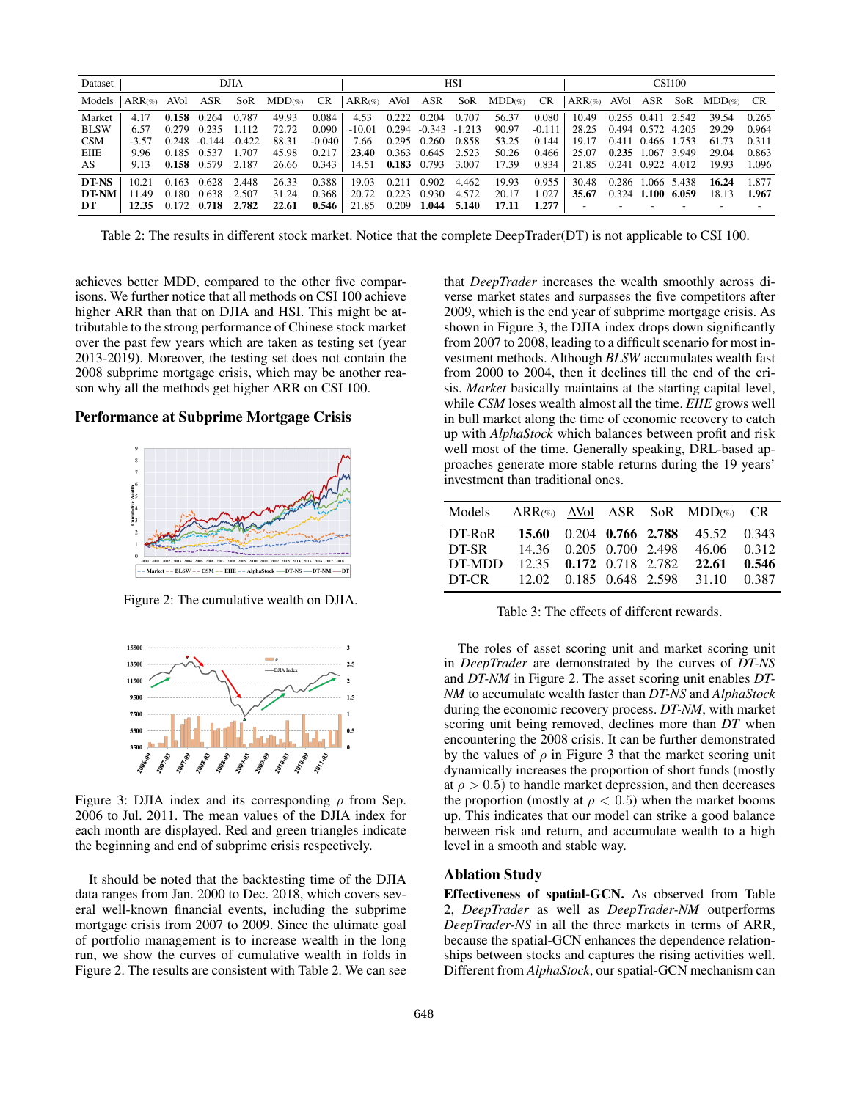| Dataset     | <b>DJIA</b>    |       |               |          |           | <b>HSI</b> |                    |       |                         |             |           |          | <b>CSI100</b>            |                   |                     |       |              |       |
|-------------|----------------|-------|---------------|----------|-----------|------------|--------------------|-------|-------------------------|-------------|-----------|----------|--------------------------|-------------------|---------------------|-------|--------------|-------|
| Models      | $ARR(\%)$ AVol |       | ASR           | SoR      | $MDD(\%)$ | CR.        | $ARR$ (%) AVol ASR |       |                         | SoR         | $MDD(\%)$ | CR       | $ARR(\%)$ AVol ASR       |                   |                     | SoR   | $MDD\%$ $CR$ |       |
| Market      | 4.17           | 0.158 | 0.264         | 0.787    | 49.93     | 0.084      | 4.53               | 0.222 | 0.204                   | 0.707       | 56.37     | 0.080    | 10.49                    | 0.255 0.411 2.542 |                     |       | 39.54        | 0.265 |
| <b>BLSW</b> | 6.57           | 0.279 | 0.235         | 1.112    | 72.72     | 0.090      | $-10.01$           |       | $0.294 - 0.343 - 1.213$ |             | 90.97     | $-0.111$ | 28.25                    |                   | 0.494 0.572 4.205   |       | 29.29        | 0.964 |
| <b>CSM</b>  | $-3.57$        | 0.248 | $-0.144$      | $-0.422$ | 88.31     | $-0.040$   | 7.66               | 0.295 | 0.260                   | 0.858       | 53.25     | 0.144    | 19.17                    |                   | 0.411 0.466 1.753   |       | 61.73        | 0.311 |
| EIIE        | 9.96           |       | 0.185 0.537   | 1.707    | 45.98     | 0.217      | 23.40              | 0.363 | 0.645                   | 2.523       | 50.26     | 0.466    | 25.07                    | $0.235$ 1.067     |                     | 3.949 | 29.04        | 0.863 |
| AS          | 9.13           |       | $0.158$ 0.579 | 2.187    | 26.66     | 0.343      | 14.51              |       | 0.183 0.793 3.007       |             | 17.39     | 0.834    | 21.85                    | 0.241 0.922 4.012 |                     |       | 19.93        | 1.096 |
| DT-NS       | 10.21          | 0.163 | 0.628         | 2.448    | 26.33     | 0.388      | 19.03              | 0.211 | 0.902                   | 4.462       | 19.93     | 0.955    | 30.48                    |                   | 0.286 1.066 5.438   |       | 16.24        | 1.877 |
| DT-NM       | 11.49          | 0.180 | 0.638         | 2.507    | 31.24     | 0.368      | 20.72              | 0.223 | 0.930                   | 4.572       | 20.17     | 1.027    | 35.67                    |                   | $0.324$ 1.100 6.059 |       | 18.13        | 1.967 |
| DT          | 12.35          |       | $0.172$ 0.718 | 2.782    | 22.61     | 0.546      | 21.85              | 0.209 |                         | 1.044 5.140 | 17.11     | 1.277    | $\overline{\phantom{a}}$ |                   |                     |       |              |       |

Table 2: The results in different stock market. Notice that the complete DeepTrader(DT) is not applicable to CSI 100.

achieves better MDD, compared to the other five comparisons. We further notice that all methods on CSI 100 achieve higher ARR than that on DJIA and HSI. This might be attributable to the strong performance of Chinese stock market over the past few years which are taken as testing set (year 2013-2019). Moreover, the testing set does not contain the 2008 subprime mortgage crisis, which may be another reason why all the methods get higher ARR on CSI 100.

#### Performance at Subprime Mortgage Crisis



Figure 2: The cumulative wealth on DJIA.



Figure 3: DJIA index and its corresponding  $\rho$  from Sep. 2006 to Jul. 2011. The mean values of the DJIA index for each month are displayed. Red and green triangles indicate the beginning and end of subprime crisis respectively.

It should be noted that the backtesting time of the DJIA data ranges from Jan. 2000 to Dec. 2018, which covers several well-known financial events, including the subprime mortgage crisis from 2007 to 2009. Since the ultimate goal of portfolio management is to increase wealth in the long run, we show the curves of cumulative wealth in folds in Figure 2. The results are consistent with Table 2. We can see

that *DeepTrader* increases the wealth smoothly across diverse market states and surpasses the five competitors after 2009, which is the end year of subprime mortgage crisis. As shown in Figure 3, the DJIA index drops down significantly from 2007 to 2008, leading to a difficult scenario for most investment methods. Although *BLSW* accumulates wealth fast from 2000 to 2004, then it declines till the end of the crisis. *Market* basically maintains at the starting capital level, while *CSM* loses wealth almost all the time. *EIIE* grows well in bull market along the time of economic recovery to catch up with *AlphaStock* which balances between profit and risk well most of the time. Generally speaking, DRL-based approaches generate more stable returns during the 19 years' investment than traditional ones.

| Models |  |  | $ARR(\%)$ AVol ASR SoR MDD $(\%)$ CR |  |
|--------|--|--|--------------------------------------|--|
| DT-RoR |  |  | 15.60 0.204 0.766 2.788 45.52 0.343  |  |
| DT-SR  |  |  | 14.36 0.205 0.700 2.498 46.06 0.312  |  |
| DT-MDD |  |  | 12.35 0.172 0.718 2.782 22.61 0.546  |  |
| DT-CR  |  |  | 12.02 0.185 0.648 2.598 31.10 0.387  |  |

Table 3: The effects of different rewards.

The roles of asset scoring unit and market scoring unit in *DeepTrader* are demonstrated by the curves of *DT-NS* and *DT-NM* in Figure 2. The asset scoring unit enables *DT-NM* to accumulate wealth faster than *DT-NS* and *AlphaStock* during the economic recovery process. *DT-NM*, with market scoring unit being removed, declines more than *DT* when encountering the 2008 crisis. It can be further demonstrated by the values of  $\rho$  in Figure 3 that the market scoring unit dynamically increases the proportion of short funds (mostly at  $\rho > 0.5$ ) to handle market depression, and then decreases the proportion (mostly at  $\rho < 0.5$ ) when the market booms up. This indicates that our model can strike a good balance between risk and return, and accumulate wealth to a high level in a smooth and stable way.

### Ablation Study

Effectiveness of spatial-GCN. As observed from Table 2, *DeepTrader* as well as *DeepTrader-NM* outperforms *DeepTrader-NS* in all the three markets in terms of ARR, because the spatial-GCN enhances the dependence relationships between stocks and captures the rising activities well. Different from *AlphaStock*, our spatial-GCN mechanism can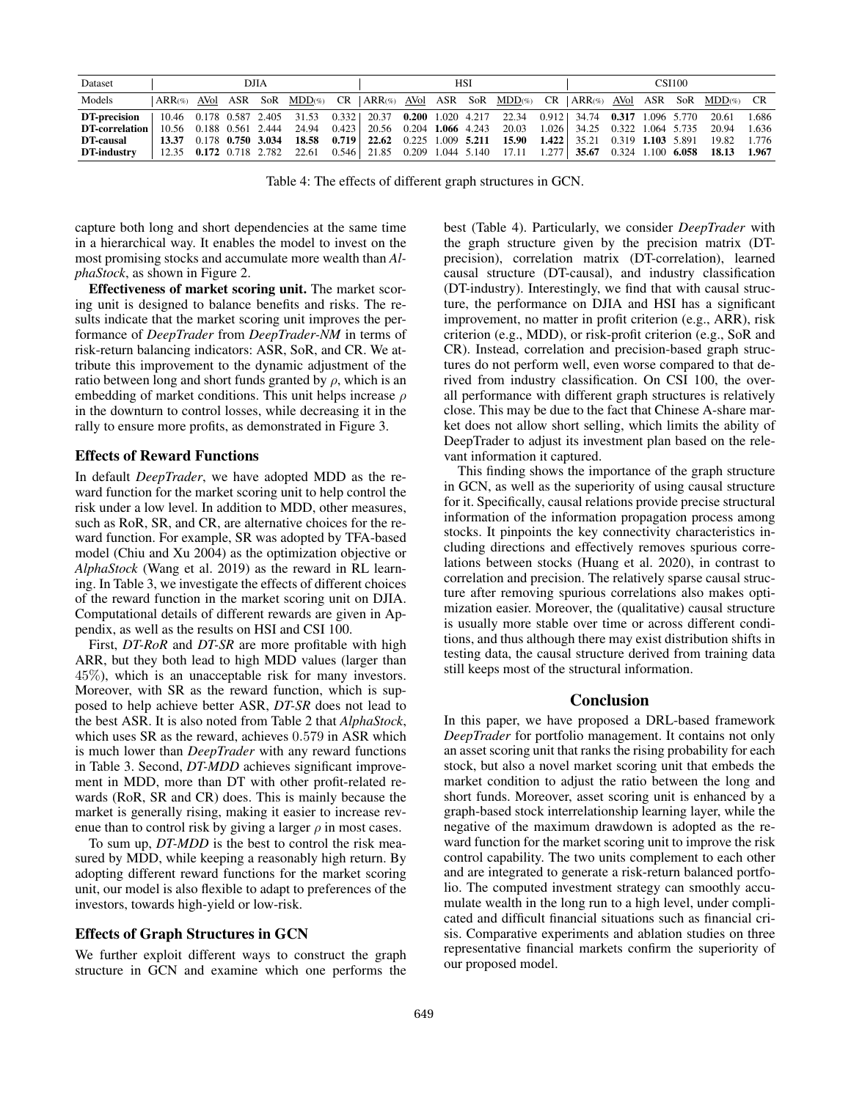| Dataset                                                                                                                               | <b>DJIA</b>                     |  |  |  |                                                                                                             | HSI |  |  |  |  |  | <b>CSI100</b> |  |  |  |  |                                                                                     |  |
|---------------------------------------------------------------------------------------------------------------------------------------|---------------------------------|--|--|--|-------------------------------------------------------------------------------------------------------------|-----|--|--|--|--|--|---------------|--|--|--|--|-------------------------------------------------------------------------------------|--|
| Models                                                                                                                                |                                 |  |  |  | ARR(%) AVol ASR SoR MDD(%) CR   ARR(%) AVol ASR SoR MDD(%) CR   ARR(%) AVol ASR SoR MDD(%) CR               |     |  |  |  |  |  |               |  |  |  |  |                                                                                     |  |
| <b>DT-precision</b>   10.46 0.178 0.587 2.405 31.53 0.332   20.37 0.200 1.020 4.217 22.34 0.912   34.74 0.317 1.096 5.770 20.61 1.686 |                                 |  |  |  |                                                                                                             |     |  |  |  |  |  |               |  |  |  |  |                                                                                     |  |
| DT-correlation                                                                                                                        |                                 |  |  |  | 10.56 0.188 0.561 2.444 24.94 0.423 20.56 0.204 1.066 4.243 20.03 1.026 34.25 0.322 1.064 5.735 20.94 1.636 |     |  |  |  |  |  |               |  |  |  |  |                                                                                     |  |
| <b>DT-causal</b>                                                                                                                      |                                 |  |  |  |                                                                                                             |     |  |  |  |  |  |               |  |  |  |  |                                                                                     |  |
| <b>DT-industry</b>                                                                                                                    | $12.35$ 0.172 0.718 2.782 22.61 |  |  |  |                                                                                                             |     |  |  |  |  |  |               |  |  |  |  | $0.546$   21.85 0.209 1.044 5.140 17.11 1.277   35.67 0.324 1.100 6.058 18.13 1.967 |  |

Table 4: The effects of different graph structures in GCN.

capture both long and short dependencies at the same time in a hierarchical way. It enables the model to invest on the most promising stocks and accumulate more wealth than *AlphaStock*, as shown in Figure 2.

Effectiveness of market scoring unit. The market scoring unit is designed to balance benefits and risks. The results indicate that the market scoring unit improves the performance of *DeepTrader* from *DeepTrader-NM* in terms of risk-return balancing indicators: ASR, SoR, and CR. We attribute this improvement to the dynamic adjustment of the ratio between long and short funds granted by  $\rho$ , which is an embedding of market conditions. This unit helps increase  $\rho$ in the downturn to control losses, while decreasing it in the rally to ensure more profits, as demonstrated in Figure 3.

#### Effects of Reward Functions

In default *DeepTrader*, we have adopted MDD as the reward function for the market scoring unit to help control the risk under a low level. In addition to MDD, other measures, such as RoR, SR, and CR, are alternative choices for the reward function. For example, SR was adopted by TFA-based model (Chiu and Xu 2004) as the optimization objective or *AlphaStock* (Wang et al. 2019) as the reward in RL learning. In Table 3, we investigate the effects of different choices of the reward function in the market scoring unit on DJIA. Computational details of different rewards are given in Appendix, as well as the results on HSI and CSI 100.

First, *DT-RoR* and *DT-SR* are more profitable with high ARR, but they both lead to high MDD values (larger than 45%), which is an unacceptable risk for many investors. Moreover, with SR as the reward function, which is supposed to help achieve better ASR, *DT-SR* does not lead to the best ASR. It is also noted from Table 2 that *AlphaStock*, which uses SR as the reward, achieves  $0.579$  in ASR which is much lower than *DeepTrader* with any reward functions in Table 3. Second, *DT-MDD* achieves significant improvement in MDD, more than DT with other profit-related rewards (RoR, SR and CR) does. This is mainly because the market is generally rising, making it easier to increase revenue than to control risk by giving a larger  $\rho$  in most cases.

To sum up, *DT-MDD* is the best to control the risk measured by MDD, while keeping a reasonably high return. By adopting different reward functions for the market scoring unit, our model is also flexible to adapt to preferences of the investors, towards high-yield or low-risk.

#### Effects of Graph Structures in GCN

We further exploit different ways to construct the graph structure in GCN and examine which one performs the best (Table 4). Particularly, we consider *DeepTrader* with the graph structure given by the precision matrix (DTprecision), correlation matrix (DT-correlation), learned causal structure (DT-causal), and industry classification (DT-industry). Interestingly, we find that with causal structure, the performance on DJIA and HSI has a significant improvement, no matter in profit criterion (e.g., ARR), risk criterion (e.g., MDD), or risk-profit criterion (e.g., SoR and CR). Instead, correlation and precision-based graph structures do not perform well, even worse compared to that derived from industry classification. On CSI 100, the overall performance with different graph structures is relatively close. This may be due to the fact that Chinese A-share market does not allow short selling, which limits the ability of DeepTrader to adjust its investment plan based on the relevant information it captured.

This finding shows the importance of the graph structure in GCN, as well as the superiority of using causal structure for it. Specifically, causal relations provide precise structural information of the information propagation process among stocks. It pinpoints the key connectivity characteristics including directions and effectively removes spurious correlations between stocks (Huang et al. 2020), in contrast to correlation and precision. The relatively sparse causal structure after removing spurious correlations also makes optimization easier. Moreover, the (qualitative) causal structure is usually more stable over time or across different conditions, and thus although there may exist distribution shifts in testing data, the causal structure derived from training data still keeps most of the structural information.

#### Conclusion

In this paper, we have proposed a DRL-based framework *DeepTrader* for portfolio management. It contains not only an asset scoring unit that ranks the rising probability for each stock, but also a novel market scoring unit that embeds the market condition to adjust the ratio between the long and short funds. Moreover, asset scoring unit is enhanced by a graph-based stock interrelationship learning layer, while the negative of the maximum drawdown is adopted as the reward function for the market scoring unit to improve the risk control capability. The two units complement to each other and are integrated to generate a risk-return balanced portfolio. The computed investment strategy can smoothly accumulate wealth in the long run to a high level, under complicated and difficult financial situations such as financial crisis. Comparative experiments and ablation studies on three representative financial markets confirm the superiority of our proposed model.